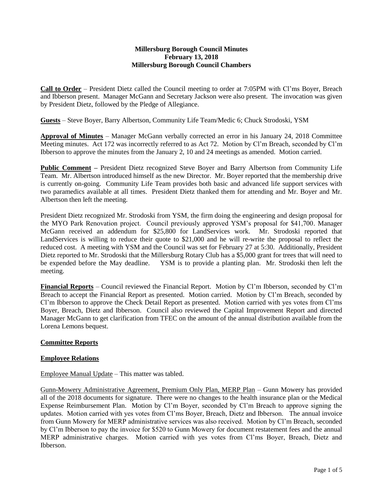#### **Millersburg Borough Council Minutes February 13, 2018 Millersburg Borough Council Chambers**

**Call to Order** – President Dietz called the Council meeting to order at 7:05PM with Cl'ms Boyer, Breach and Ibberson present. Manager McGann and Secretary Jackson were also present. The invocation was given by President Dietz, followed by the Pledge of Allegiance.

**Guests** – Steve Boyer, Barry Albertson, Community Life Team/Medic 6; Chuck Strodoski, YSM

**Approval of Minutes** – Manager McGann verbally corrected an error in his January 24, 2018 Committee Meeting minutes. Act 172 was incorrectly referred to as Act 72. Motion by Cl'm Breach, seconded by Cl'm Ibberson to approve the minutes from the January 2, 10 and 24 meetings as amended. Motion carried.

**Public Comment –** President Dietz recognized Steve Boyer and Barry Albertson from Community Life Team. Mr. Albertson introduced himself as the new Director. Mr. Boyer reported that the membership drive is currently on-going. Community Life Team provides both basic and advanced life support services with two paramedics available at all times. President Dietz thanked them for attending and Mr. Boyer and Mr. Albertson then left the meeting.

President Dietz recognized Mr. Strodoski from YSM, the firm doing the engineering and design proposal for the MYO Park Renovation project. Council previously approved YSM's proposal for \$41,700. Manager McGann received an addendum for \$25,800 for LandServices work. Mr. Strodoski reported that LandServices is willing to reduce their quote to \$21,000 and he will re-write the proposal to reflect the reduced cost. A meeting with YSM and the Council was set for February 27 at 5:30. Additionally, President Dietz reported to Mr. Strodoski that the Millersburg Rotary Club has a \$5,000 grant for trees that will need to be expended before the May deadline. YSM is to provide a planting plan. Mr. Strodoski then left the meeting.

**Financial Reports** – Council reviewed the Financial Report. Motion by Cl'm Ibberson, seconded by Cl'm Breach to accept the Financial Report as presented. Motion carried. Motion by Cl'm Breach, seconded by Cl'm Ibberson to approve the Check Detail Report as presented. Motion carried with yes votes from Cl'ms Boyer, Breach, Dietz and Ibberson. Council also reviewed the Capital Improvement Report and directed Manager McGann to get clarification from TFEC on the amount of the annual distribution available from the Lorena Lemons bequest.

## **Committee Reports**

## **Employee Relations**

Employee Manual Update – This matter was tabled.

Gunn-Mowery Administrative Agreement, Premium Only Plan, MERP Plan – Gunn Mowery has provided all of the 2018 documents for signature. There were no changes to the health insurance plan or the Medical Expense Reimbursement Plan. Motion by Cl'm Boyer, seconded by Cl'm Breach to approve signing the updates. Motion carried with yes votes from Cl'ms Boyer, Breach, Dietz and Ibberson. The annual invoice from Gunn Mowery for MERP administrative services was also received. Motion by Cl'm Breach, seconded by Cl'm Ibberson to pay the invoice for \$520 to Gunn Mowery for document restatement fees and the annual MERP administrative charges. Motion carried with yes votes from Cl'ms Boyer, Breach, Dietz and Ibberson.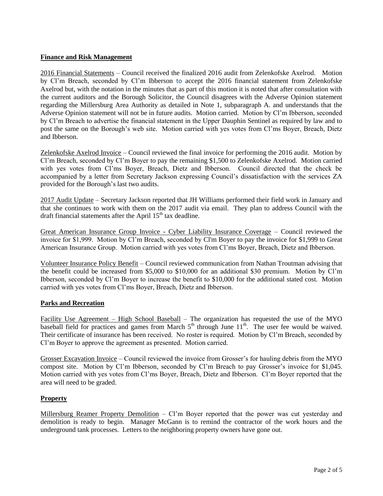# **Finance and Risk Management**

2016 Financial Statements – Council received the finalized 2016 audit from Zelenkofske Axelrod. Motion by Cl'm Breach, seconded by Cl'm Ibberson to accept the 2016 financial statement from Zelenkofske Axelrod but, with the notation in the minutes that as part of this motion it is noted that after consultation with the current auditors and the Borough Solicitor, the Council disagrees with the Adverse Opinion statement regarding the Millersburg Area Authority as detailed in Note 1, subparagraph A. and understands that the Adverse Opinion statement will not be in future audits. Motion carried. Motion by Cl'm Ibberson, seconded by Cl'm Breach to advertise the financial statement in the Upper Dauphin Sentinel as required by law and to post the same on the Borough's web site. Motion carried with yes votes from Cl'ms Boyer, Breach, Dietz and Ibberson.

Zelenkofske Axelrod Invoice – Council reviewed the final invoice for performing the 2016 audit. Motion by Cl'm Breach, seconded by Cl'm Boyer to pay the remaining \$1,500 to Zelenkofske Axelrod. Motion carried with yes votes from Cl'ms Boyer, Breach, Dietz and Ibberson. Council directed that the check be accompanied by a letter from Secretary Jackson expressing Council's dissatisfaction with the services ZA provided for the Borough's last two audits.

2017 Audit Update – Secretary Jackson reported that JH Williams performed their field work in January and that she continues to work with them on the 2017 audit via email. They plan to address Council with the draft financial statements after the April  $15<sup>th</sup>$  tax deadline.

Great American Insurance Group Invoice - Cyber Liability Insurance Coverage – Council reviewed the invoice for \$1,999. Motion by Cl'm Breach, seconded by Cl'm Boyer to pay the invoice for \$1,999 to Great American Insurance Group. Motion carried with yes votes from Cl'ms Boyer, Breach, Dietz and Ibberson.

Volunteer Insurance Policy Benefit – Council reviewed communication from Nathan Troutman advising that the benefit could be increased from \$5,000 to \$10,000 for an additional \$30 premium. Motion by Cl'm Ibberson, seconded by Cl'm Boyer to increase the benefit to \$10,000 for the additional stated cost. Motion carried with yes votes from Cl'ms Boyer, Breach, Dietz and Ibberson.

## **Parks and Recreation**

Facility Use Agreement – High School Baseball – The organization has requested the use of the MYO baseball field for practices and games from March  $5<sup>th</sup>$  through June  $11<sup>th</sup>$ . The user fee would be waived. Their certificate of insurance has been received. No roster is required. Motion by Cl'm Breach, seconded by Cl'm Boyer to approve the agreement as presented. Motion carried.

Grosser Excavation Invoice – Council reviewed the invoice from Grosser's for hauling debris from the MYO compost site. Motion by Cl'm Ibberson, seconded by Cl'm Breach to pay Grosser's invoice for \$1,045. Motion carried with yes votes from Cl'ms Boyer, Breach, Dietz and Ibberson. Cl'm Boyer reported that the area will need to be graded.

## **Property**

Millersburg Reamer Property Demolition – Cl'm Boyer reported that the power was cut yesterday and demolition is ready to begin. Manager McGann is to remind the contractor of the work hours and the underground tank processes. Letters to the neighboring property owners have gone out.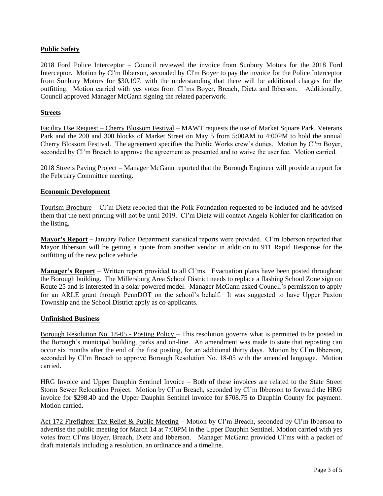# **Public Safety**

2018 Ford Police Interceptor – Council reviewed the invoice from Sunbury Motors for the 2018 Ford Interceptor. Motion by Cl'm Ibberson, seconded by Cl'm Boyer to pay the invoice for the Police Interceptor from Sunbury Motors for \$30,197, with the understanding that there will be additional charges for the outfitting. Motion carried with yes votes from Cl'ms Boyer, Breach, Dietz and Ibberson. Additionally, Council approved Manager McGann signing the related paperwork.

## **Streets**

Facility Use Request – Cherry Blossom Festival – MAWT requests the use of Market Square Park, Veterans Park and the 200 and 300 blocks of Market Street on May 5 from 5:00AM to 4:00PM to hold the annual Cherry Blossom Festival. The agreement specifies the Public Works crew's duties. Motion by Cl'm Boyer, seconded by Cl'm Breach to approve the agreement as presented and to waive the user fee. Motion carried.

2018 Streets Paving Project – Manager McGann reported that the Borough Engineer will provide a report for the February Committee meeting.

#### **Economic Development**

Tourism Brochure – Cl'm Dietz reported that the Polk Foundation requested to be included and he advised them that the next printing will not be until 2019. Cl'm Dietz will contact Angela Kohler for clarification on the listing.

**Mayor's Report –** January Police Department statistical reports were provided. Cl'm Ibberson reported that Mayor Ibberson will be getting a quote from another vendor in addition to 911 Rapid Response for the outfitting of the new police vehicle.

**Manager's Report** – Written report provided to all Cl'ms. Evacuation plans have been posted throughout the Borough building. The Millersburg Area School District needs to replace a flashing School Zone sign on Route 25 and is interested in a solar powered model. Manager McGann asked Council's permission to apply for an ARLE grant through PennDOT on the school's behalf. It was suggested to have Upper Paxton Township and the School District apply as co-applicants.

## **Unfinished Business**

Borough Resolution No. 18-05 - Posting Policy – This resolution governs what is permitted to be posted in the Borough's municipal building, parks and on-line. An amendment was made to state that reposting can occur six months after the end of the first posting, for an additional thirty days. Motion by Cl'm Ibberson, seconded by Cl'm Breach to approve Borough Resolution No. 18-05 with the amended language. Motion carried.

HRG Invoice and Upper Dauphin Sentinel Invoice – Both of these invoices are related to the State Street Storm Sewer Relocation Project. Motion by Cl'm Breach, seconded by Cl'm Ibberson to forward the HRG invoice for \$298.40 and the Upper Dauphin Sentinel invoice for \$708.75 to Dauphin County for payment. Motion carried.

Act 172 Firefighter Tax Relief & Public Meeting – Motion by Cl'm Breach, seconded by Cl'm Ibberson to advertise the public meeting for March 14 at 7:00PM in the Upper Dauphin Sentinel. Motion carried with yes votes from Cl'ms Boyer, Breach, Dietz and Ibberson. Manager McGann provided Cl'ms with a packet of draft materials including a resolution, an ordinance and a timeline.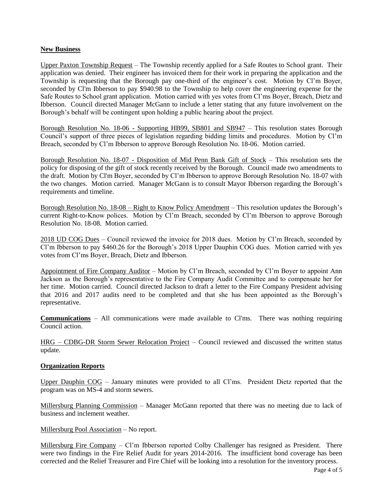#### **New Business**

Upper Paxton Township Request – The Township recently applied for a Safe Routes to School grant. Their application was denied. Their engineer has invoiced them for their work in preparing the application and the Township is requesting that the Borough pay one-third of the engineer's cost. Motion by Cl'm Boyer, seconded by Cl'm Ibberson to pay \$940.98 to the Township to help cover the engineering expense for the Safe Routes to School grant application. Motion carried with yes votes from Cl'ms Boyer, Breach, Dietz and Ibberson. Council directed Manager McGann to include a letter stating that any future involvement on the Borough's behalf will be contingent upon holding a public hearing about the project.

Borough Resolution No. 18-06 - Supporting HB99, SB801 and SB947 – This resolution states Borough Council's support of three pieces of legislation regarding bidding limits and procedures. Motion by Cl'm Breach, seconded by Cl'm Ibberson to approve Borough Resolution No. 18-06. Motion carried.

Borough Resolution No. 18-07 - Disposition of Mid Penn Bank Gift of Stock – This resolution sets the policy for disposing of the gift of stock recently received by the Borough. Council made two amendments to the draft. Motion by Cl'm Boyer, seconded by Cl'm Ibberson to approve Borough Resolution No. 18-07 with the two changes. Motion carried. Manager McGann is to consult Mayor Ibberson regarding the Borough's requirements and timeline.

Borough Resolution No. 18-08 – Right to Know Policy Amendment – This resolution updates the Borough's current Right-to-Know polices. Motion by Cl'm Breach, seconded by Cl'm Ibberson to approve Borough Resolution No. 18-08. Motion carried.

2018 UD COG Dues – Council reviewed the invoice for 2018 dues. Motion by Cl'm Breach, seconded by Cl'm Ibberson to pay \$460.26 for the Borough's 2018 Upper Dauphin COG dues. Motion carried with yes votes from Cl'ms Boyer, Breach, Dietz and Ibberson.

Appointment of Fire Company Auditor - Motion by Cl'm Breach, seconded by Cl'm Boyer to appoint Ann Jackson as the Borough's representative to the Fire Company Audit Committee and to compensate her for her time. Motion carried. Council directed Jackson to draft a letter to the Fire Company President advising that 2016 and 2017 audits need to be completed and that she has been appointed as the Borough's representative.

**Communications** – All communications were made available to Cl'ms. There was nothing requiring Council action.

HRG – CDBG-DR Storm Sewer Relocation Project – Council reviewed and discussed the written status update.

#### **Organization Reports**

Upper Dauphin COG – January minutes were provided to all Cl'ms. President Dietz reported that the program was on MS-4 and storm sewers.

Millersburg Planning Commission – Manager McGann reported that there was no meeting due to lack of business and inclement weather.

#### Millersburg Pool Association – No report.

Millersburg Fire Company – Cl'm Ibberson reported Colby Challenger has resigned as President. There were two findings in the Fire Relief Audit for years 2014-2016. The insufficient bond coverage has been corrected and the Relief Treasurer and Fire Chief will be looking into a resolution for the inventory process.